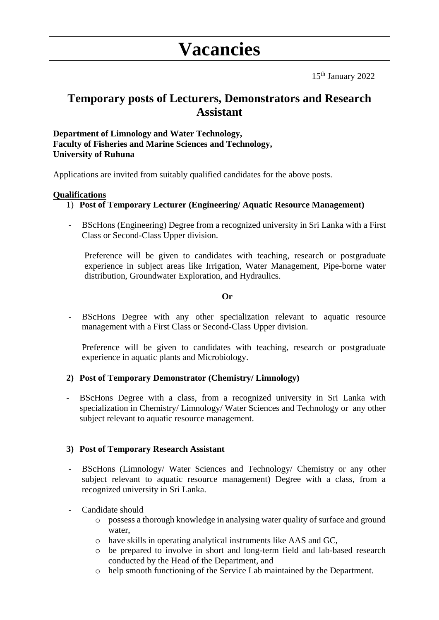# **Vacancies**

15th January 2022

# **Temporary posts of Lecturers, Demonstrators and Research Assistant**

# **Department of Limnology and Water Technology, Faculty of Fisheries and Marine Sciences and Technology, University of Ruhuna**

Applications are invited from suitably qualified candidates for the above posts.

### **Qualifications**

# 1) **Post of Temporary Lecturer (Engineering/ Aquatic Resource Management)**

BScHons (Engineering) Degree from a recognized university in Sri Lanka with a First Class or Second-Class Upper division.

Preference will be given to candidates with teaching, research or postgraduate experience in subject areas like Irrigation, Water Management, Pipe-borne water distribution, Groundwater Exploration, and Hydraulics.

### **Or**

BScHons Degree with any other specialization relevant to aquatic resource management with a First Class or Second-Class Upper division.

Preference will be given to candidates with teaching, research or postgraduate experience in aquatic plants and Microbiology.

# **2) Post of Temporary Demonstrator (Chemistry/ Limnology)**

- BScHons Degree with a class, from a recognized university in Sri Lanka with specialization in Chemistry/ Limnology/ Water Sciences and Technology or any other subject relevant to aquatic resource management.

#### **3) Post of Temporary Research Assistant**

- BScHons (Limnology/ Water Sciences and Technology/ Chemistry or any other subject relevant to aquatic resource management) Degree with a class, from a recognized university in Sri Lanka.
- Candidate should
	- o possess a thorough knowledge in analysing water quality of surface and ground water,
	- o have skills in operating analytical instruments like AAS and GC,
	- o be prepared to involve in short and long-term field and lab-based research conducted by the Head of the Department, and
	- o help smooth functioning of the Service Lab maintained by the Department.